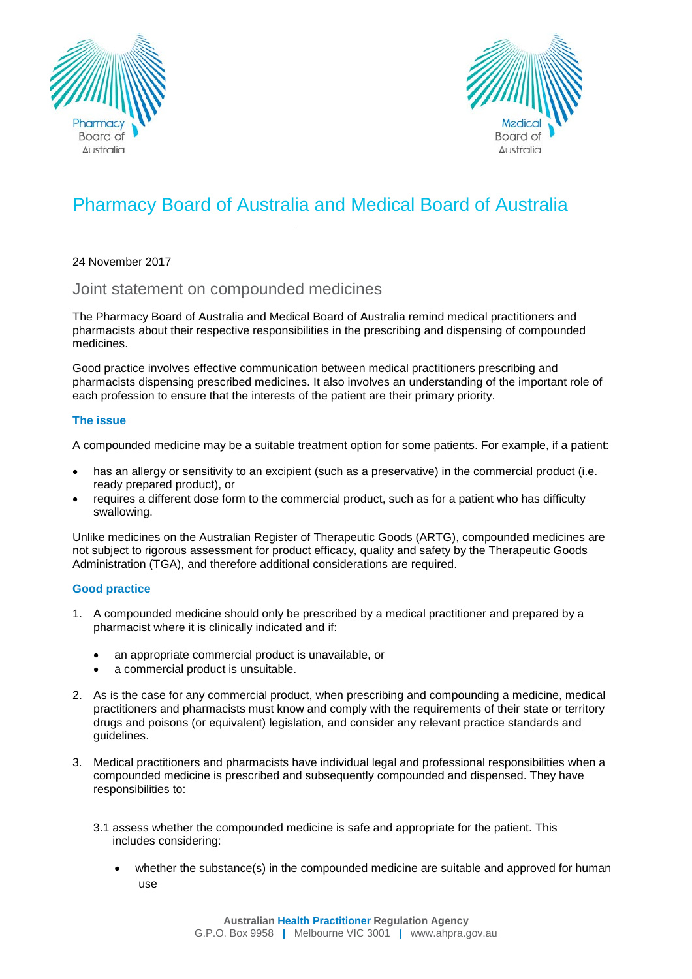



## Pharmacy Board of Australia and Medical Board of Australia

24 November 2017

Joint statement on compounded medicines

The Pharmacy Board of Australia and Medical Board of Australia remind medical practitioners and pharmacists about their respective responsibilities in the prescribing and dispensing of compounded medicines.

Good practice involves effective communication between medical practitioners prescribing and pharmacists dispensing prescribed medicines. It also involves an understanding of the important role of each profession to ensure that the interests of the patient are their primary priority.

## **The issue**

A compounded medicine may be a suitable treatment option for some patients. For example, if a patient:

- has an allergy or sensitivity to an excipient (such as a preservative) in the commercial product (i.e. ready prepared product), or
- requires a different dose form to the commercial product, such as for a patient who has difficulty swallowing.

Unlike medicines on the Australian Register of Therapeutic Goods (ARTG), compounded medicines are not subject to rigorous assessment for product efficacy, quality and safety by the Therapeutic Goods Administration (TGA), and therefore additional considerations are required.

## **Good practice**

- 1. A compounded medicine should only be prescribed by a medical practitioner and prepared by a pharmacist where it is clinically indicated and if:
	- an appropriate commercial product is unavailable, or
	- a commercial product is unsuitable.
- 2. As is the case for any commercial product, when prescribing and compounding a medicine, medical practitioners and pharmacists must know and comply with the requirements of their state or territory drugs and poisons (or equivalent) legislation, and consider any relevant practice standards and guidelines.
- 3. Medical practitioners and pharmacists have individual legal and professional responsibilities when a compounded medicine is prescribed and subsequently compounded and dispensed. They have responsibilities to:
	- 3.1 assess whether the compounded medicine is safe and appropriate for the patient. This includes considering:
		- whether the substance(s) in the compounded medicine are suitable and approved for human use